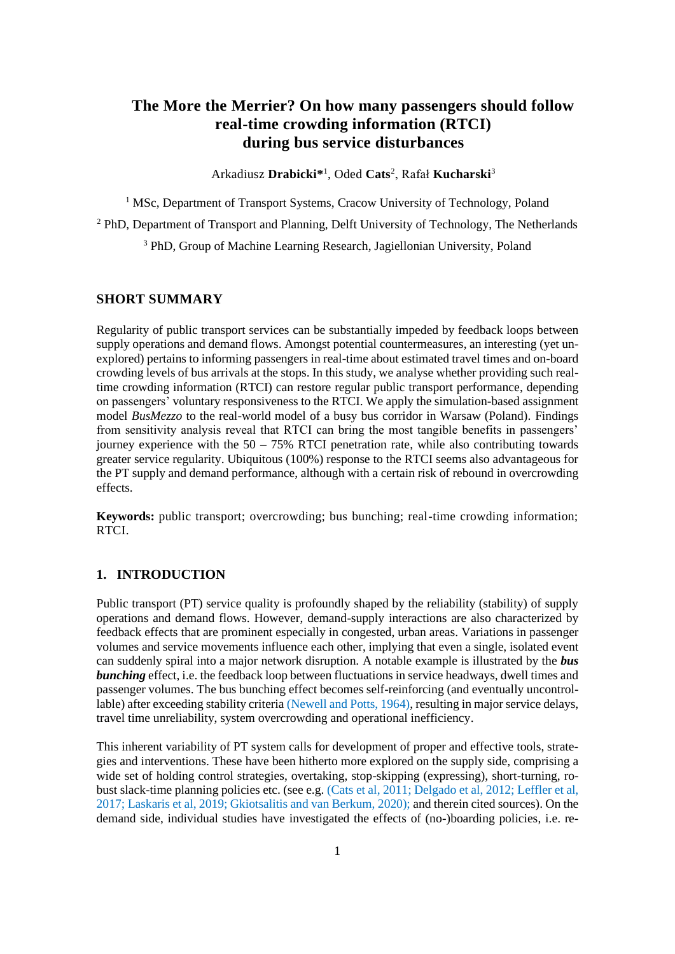# **The More the Merrier? On how many passengers should follow real-time crowding information (RTCI) during bus service disturbances**

Arkadiusz **Drabicki\*** 1 , Oded **Cats**<sup>2</sup> , Rafał **Kucharski**<sup>3</sup>

<sup>1</sup> MSc, Department of Transport Systems, Cracow University of Technology, Poland

<sup>2</sup> PhD, Department of Transport and Planning, Delft University of Technology, The Netherlands

<sup>3</sup> PhD, Group of Machine Learning Research, Jagiellonian University, Poland

## **SHORT SUMMARY**

Regularity of public transport services can be substantially impeded by feedback loops between supply operations and demand flows. Amongst potential countermeasures, an interesting (yet unexplored) pertains to informing passengers in real-time about estimated travel times and on-board crowding levels of bus arrivals at the stops. In this study, we analyse whether providing such realtime crowding information (RTCI) can restore regular public transport performance, depending on passengers' voluntary responsiveness to the RTCI. We apply the simulation-based assignment model *BusMezzo* to the real-world model of a busy bus corridor in Warsaw (Poland). Findings from sensitivity analysis reveal that RTCI can bring the most tangible benefits in passengers' journey experience with the  $50 - 75\%$  RTCI penetration rate, while also contributing towards greater service regularity. Ubiquitous (100%) response to the RTCI seems also advantageous for the PT supply and demand performance, although with a certain risk of rebound in overcrowding effects.

**Keywords:** public transport; overcrowding; bus bunching; real-time crowding information; RTCI.

## **1. INTRODUCTION**

Public transport (PT) service quality is profoundly shaped by the reliability (stability) of supply operations and demand flows. However, demand-supply interactions are also characterized by feedback effects that are prominent especially in congested, urban areas. Variations in passenger volumes and service movements influence each other, implying that even a single, isolated event can suddenly spiral into a major network disruption. A notable example is illustrated by the *bus bunching* effect, i.e. the feedback loop between fluctuations in service headways, dwell times and passenger volumes. The bus bunching effect becomes self-reinforcing (and eventually uncontrollable) after exceeding stability criteria (Newell and Potts, 1964), resulting in major service delays, travel time unreliability, system overcrowding and operational inefficiency.

This inherent variability of PT system calls for development of proper and effective tools, strategies and interventions. These have been hitherto more explored on the supply side, comprising a wide set of holding control strategies, overtaking, stop-skipping (expressing), short-turning, robust slack-time planning policies etc. (see e.g. (Cats et al, 2011; Delgado et al, 2012; Leffler et al, 2017; Laskaris et al, 2019; Gkiotsalitis and van Berkum, 2020); and therein cited sources). On the demand side, individual studies have investigated the effects of (no-)boarding policies, i.e. re-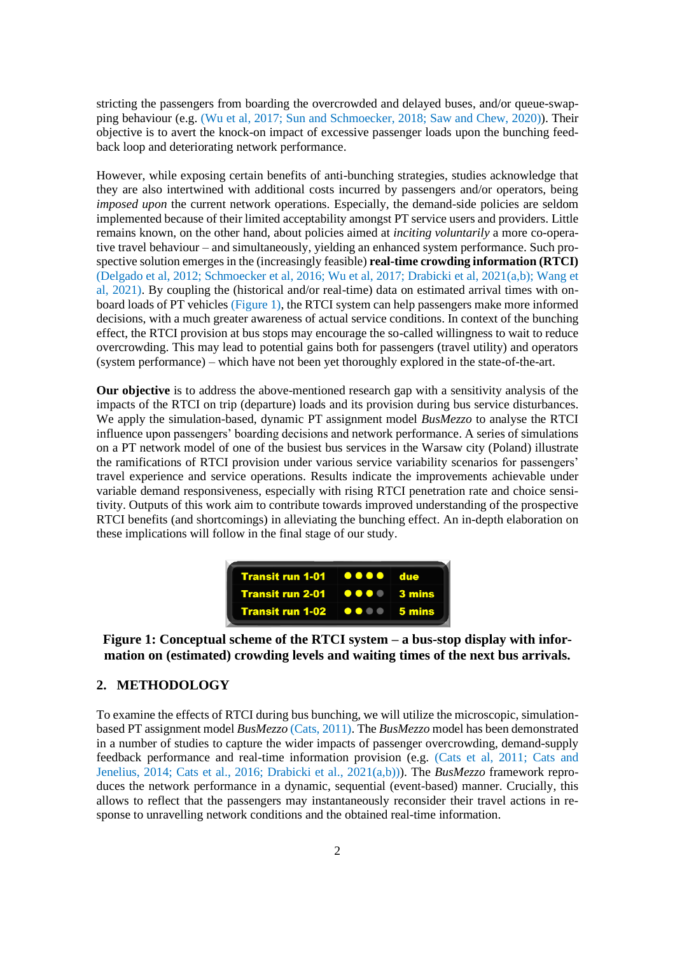stricting the passengers from boarding the overcrowded and delayed buses, and/or queue-swapping behaviour (e.g. (Wu et al, 2017; Sun and Schmoecker, 2018; Saw and Chew, 2020)). Their objective is to avert the knock-on impact of excessive passenger loads upon the bunching feedback loop and deteriorating network performance.

However, while exposing certain benefits of anti-bunching strategies, studies acknowledge that they are also intertwined with additional costs incurred by passengers and/or operators, being *imposed upon* the current network operations. Especially, the demand-side policies are seldom implemented because of their limited acceptability amongst PT service users and providers. Little remains known, on the other hand, about policies aimed at *inciting voluntarily* a more co-operative travel behaviour – and simultaneously, yielding an enhanced system performance. Such prospective solution emerges in the (increasingly feasible) **real-time crowding information (RTCI)** (Delgado et al, 2012; Schmoecker et al, 2016; Wu et al, 2017; Drabicki et al, 2021(a,b); Wang et al, 2021). By coupling the (historical and/or real-time) data on estimated arrival times with onboard loads of PT vehicles (Figure 1), the RTCI system can help passengers make more informed decisions, with a much greater awareness of actual service conditions. In context of the bunching effect, the RTCI provision at bus stops may encourage the so-called willingness to wait to reduce overcrowding. This may lead to potential gains both for passengers (travel utility) and operators (system performance) – which have not been yet thoroughly explored in the state-of-the-art.

**Our objective** is to address the above-mentioned research gap with a sensitivity analysis of the impacts of the RTCI on trip (departure) loads and its provision during bus service disturbances. We apply the simulation-based, dynamic PT assignment model *BusMezzo* to analyse the RTCI influence upon passengers' boarding decisions and network performance. A series of simulations on a PT network model of one of the busiest bus services in the Warsaw city (Poland) illustrate the ramifications of RTCI provision under various service variability scenarios for passengers' travel experience and service operations. Results indicate the improvements achievable under variable demand responsiveness, especially with rising RTCI penetration rate and choice sensitivity. Outputs of this work aim to contribute towards improved understanding of the prospective RTCI benefits (and shortcomings) in alleviating the bunching effect. An in-depth elaboration on these implications will follow in the final stage of our study.



**Figure 1: Conceptual scheme of the RTCI system – a bus-stop display with information on (estimated) crowding levels and waiting times of the next bus arrivals.**

### **2. METHODOLOGY**

To examine the effects of RTCI during bus bunching, we will utilize the microscopic, simulationbased PT assignment model *BusMezzo* (Cats, 2011). The *BusMezzo* model has been demonstrated in a number of studies to capture the wider impacts of passenger overcrowding, demand-supply feedback performance and real-time information provision (e.g. (Cats et al, 2011; Cats and Jenelius, 2014; Cats et al., 2016; Drabicki et al., 2021(a,b))). The *BusMezzo* framework reproduces the network performance in a dynamic, sequential (event-based) manner. Crucially, this allows to reflect that the passengers may instantaneously reconsider their travel actions in response to unravelling network conditions and the obtained real-time information.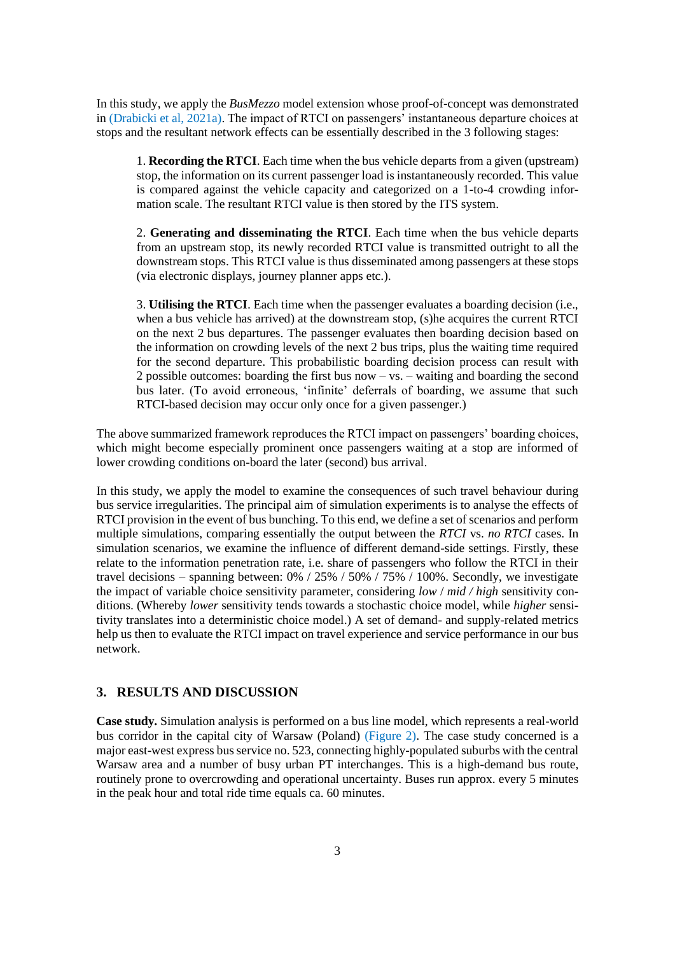In this study, we apply the *BusMezzo* model extension whose proof-of-concept was demonstrated in (Drabicki et al, 2021a). The impact of RTCI on passengers' instantaneous departure choices at stops and the resultant network effects can be essentially described in the 3 following stages:

1. **Recording the RTCI**. Each time when the bus vehicle departs from a given (upstream) stop, the information on its current passenger load is instantaneously recorded. This value is compared against the vehicle capacity and categorized on a 1-to-4 crowding information scale. The resultant RTCI value is then stored by the ITS system.

2. **Generating and disseminating the RTCI**. Each time when the bus vehicle departs from an upstream stop, its newly recorded RTCI value is transmitted outright to all the downstream stops. This RTCI value is thus disseminated among passengers at these stops (via electronic displays, journey planner apps etc.).

3. **Utilising the RTCI**. Each time when the passenger evaluates a boarding decision (i.e., when a bus vehicle has arrived) at the downstream stop, (s)he acquires the current RTCI on the next 2 bus departures. The passenger evaluates then boarding decision based on the information on crowding levels of the next 2 bus trips, plus the waiting time required for the second departure. This probabilistic boarding decision process can result with 2 possible outcomes: boarding the first bus now – vs. – waiting and boarding the second bus later. (To avoid erroneous, 'infinite' deferrals of boarding, we assume that such RTCI-based decision may occur only once for a given passenger.)

The above summarized framework reproduces the RTCI impact on passengers' boarding choices, which might become especially prominent once passengers waiting at a stop are informed of lower crowding conditions on-board the later (second) bus arrival.

In this study, we apply the model to examine the consequences of such travel behaviour during bus service irregularities. The principal aim of simulation experiments is to analyse the effects of RTCI provision in the event of bus bunching. To this end, we define a set of scenarios and perform multiple simulations, comparing essentially the output between the *RTCI* vs. *no RTCI* cases. In simulation scenarios, we examine the influence of different demand-side settings. Firstly, these relate to the information penetration rate, i.e. share of passengers who follow the RTCI in their travel decisions – spanning between: 0% / 25% / 50% / 75% / 100%. Secondly, we investigate the impact of variable choice sensitivity parameter, considering *low* / *mid / high* sensitivity conditions. (Whereby *lower* sensitivity tends towards a stochastic choice model, while *higher* sensitivity translates into a deterministic choice model.) A set of demand- and supply-related metrics help us then to evaluate the RTCI impact on travel experience and service performance in our bus network.

# **3. RESULTS AND DISCUSSION**

**Case study.** Simulation analysis is performed on a bus line model, which represents a real-world bus corridor in the capital city of Warsaw (Poland) (Figure 2). The case study concerned is a major east-west express bus service no. 523, connecting highly-populated suburbs with the central Warsaw area and a number of busy urban PT interchanges. This is a high-demand bus route, routinely prone to overcrowding and operational uncertainty. Buses run approx. every 5 minutes in the peak hour and total ride time equals ca. 60 minutes.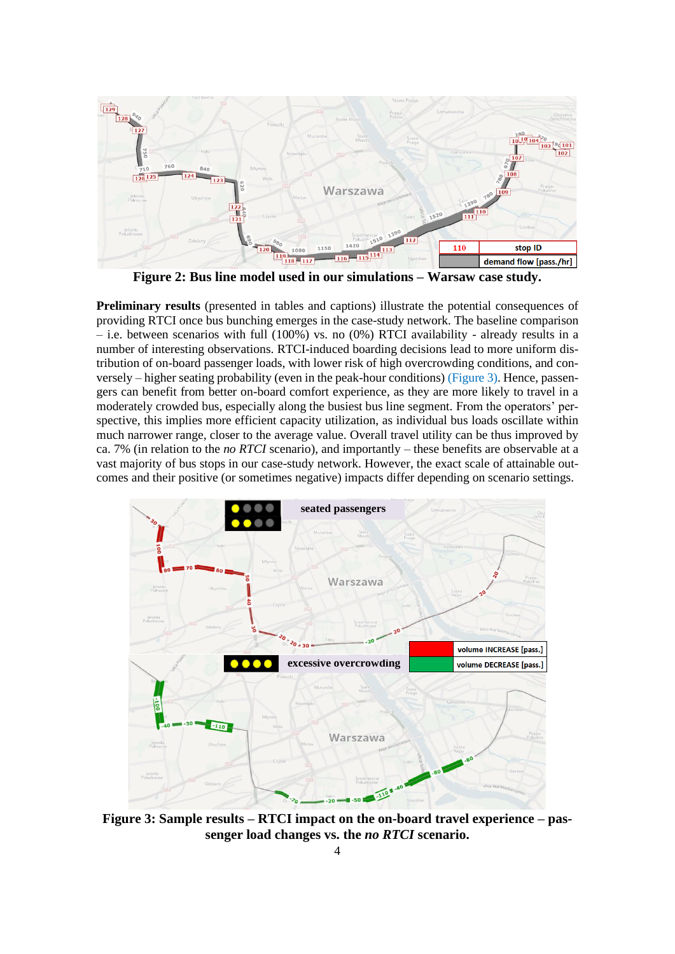

**Figure 2: Bus line model used in our simulations – Warsaw case study.**

**Preliminary results** (presented in tables and captions) illustrate the potential consequences of providing RTCI once bus bunching emerges in the case-study network. The baseline comparison – i.e. between scenarios with full (100%) vs. no (0%) RTCI availability - already results in a number of interesting observations. RTCI-induced boarding decisions lead to more uniform distribution of on-board passenger loads, with lower risk of high overcrowding conditions, and conversely – higher seating probability (even in the peak-hour conditions) (Figure 3). Hence, passengers can benefit from better on-board comfort experience, as they are more likely to travel in a moderately crowded bus, especially along the busiest bus line segment. From the operators' perspective, this implies more efficient capacity utilization, as individual bus loads oscillate within much narrower range, closer to the average value. Overall travel utility can be thus improved by ca. 7% (in relation to the *no RTCI* scenario), and importantly – these benefits are observable at a vast majority of bus stops in our case-study network. However, the exact scale of attainable outcomes and their positive (or sometimes negative) impacts differ depending on scenario settings.



**Figure 3: Sample results – RTCI impact on the on-board travel experience – passenger load changes vs. the** *no RTCI* **scenario.**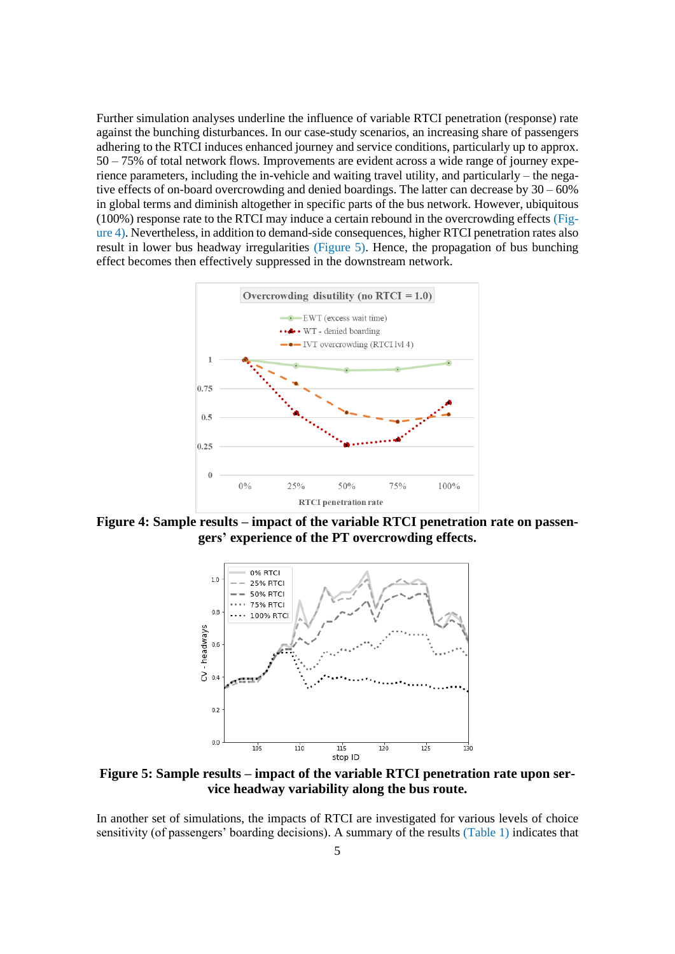Further simulation analyses underline the influence of variable RTCI penetration (response) rate against the bunching disturbances. In our case-study scenarios, an increasing share of passengers adhering to the RTCI induces enhanced journey and service conditions, particularly up to approx. 50 – 75% of total network flows. Improvements are evident across a wide range of journey experience parameters, including the in-vehicle and waiting travel utility, and particularly – the negative effects of on-board overcrowding and denied boardings. The latter can decrease by 30 – 60% in global terms and diminish altogether in specific parts of the bus network. However, ubiquitous (100%) response rate to the RTCI may induce a certain rebound in the overcrowding effects (Figure 4). Nevertheless, in addition to demand-side consequences, higher RTCI penetration rates also result in lower bus headway irregularities (Figure 5). Hence, the propagation of bus bunching effect becomes then effectively suppressed in the downstream network.



**Figure 4: Sample results – impact of the variable RTCI penetration rate on passengers' experience of the PT overcrowding effects.**



**Figure 5: Sample results – impact of the variable RTCI penetration rate upon service headway variability along the bus route.**

In another set of simulations, the impacts of RTCI are investigated for various levels of choice sensitivity (of passengers' boarding decisions). A summary of the results (Table 1) indicates that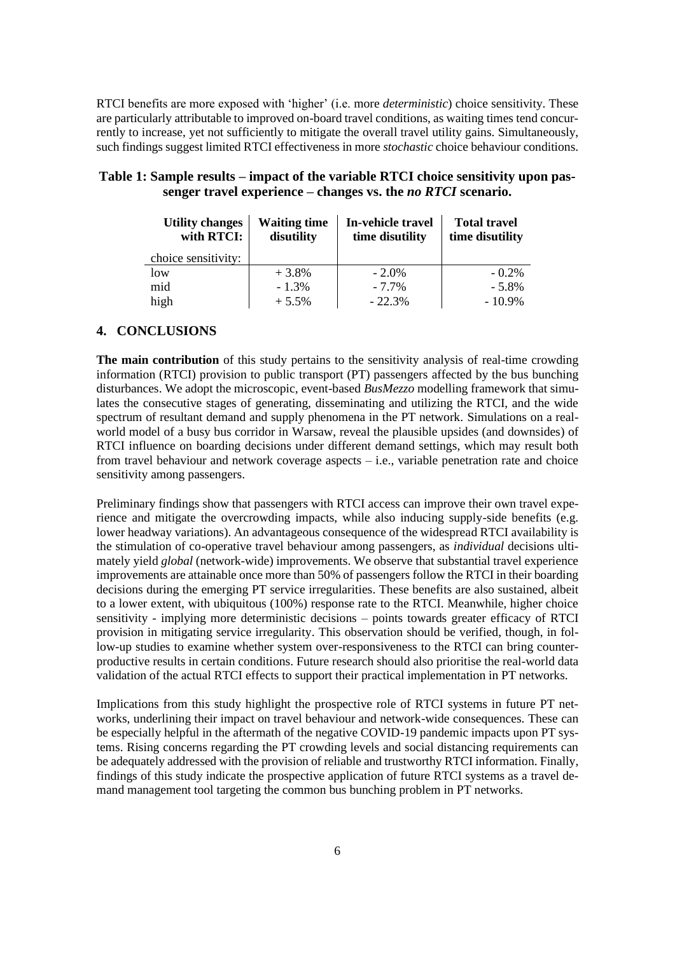RTCI benefits are more exposed with 'higher' (i.e. more *deterministic*) choice sensitivity. These are particularly attributable to improved on-board travel conditions, as waiting times tend concurrently to increase, yet not sufficiently to mitigate the overall travel utility gains. Simultaneously, such findings suggest limited RTCI effectiveness in more *stochastic* choice behaviour conditions.

| <b>Utility changes</b><br>with RTCI: | <b>Waiting time</b><br>disutility | In-vehicle travel<br>time disutility | <b>Total travel</b><br>time disutility |
|--------------------------------------|-----------------------------------|--------------------------------------|----------------------------------------|
| choice sensitivity:                  |                                   |                                      |                                        |
| low                                  | $+3.8%$                           | $-2.0\%$                             | $-0.2\%$                               |
| mid                                  | $-1.3\%$                          | $-7.7\%$                             | $-5.8\%$                               |
| high                                 | $+5.5%$                           | $-22.3%$                             | $-10.9\%$                              |

| Table 1: Sample results – impact of the variable RTCI choice sensitivity upon pas- |  |
|------------------------------------------------------------------------------------|--|
| senger travel experience – changes vs. the <i>no RTCI</i> scenario.                |  |

#### **4. CONCLUSIONS**

**The main contribution** of this study pertains to the sensitivity analysis of real-time crowding information (RTCI) provision to public transport (PT) passengers affected by the bus bunching disturbances. We adopt the microscopic, event-based *BusMezzo* modelling framework that simulates the consecutive stages of generating, disseminating and utilizing the RTCI, and the wide spectrum of resultant demand and supply phenomena in the PT network. Simulations on a realworld model of a busy bus corridor in Warsaw, reveal the plausible upsides (and downsides) of RTCI influence on boarding decisions under different demand settings, which may result both from travel behaviour and network coverage aspects – i.e., variable penetration rate and choice sensitivity among passengers.

Preliminary findings show that passengers with RTCI access can improve their own travel experience and mitigate the overcrowding impacts, while also inducing supply-side benefits (e.g. lower headway variations). An advantageous consequence of the widespread RTCI availability is the stimulation of co-operative travel behaviour among passengers, as *individual* decisions ultimately yield *global* (network-wide) improvements. We observe that substantial travel experience improvements are attainable once more than 50% of passengers follow the RTCI in their boarding decisions during the emerging PT service irregularities. These benefits are also sustained, albeit to a lower extent, with ubiquitous (100%) response rate to the RTCI. Meanwhile, higher choice sensitivity - implying more deterministic decisions – points towards greater efficacy of RTCI provision in mitigating service irregularity. This observation should be verified, though, in follow-up studies to examine whether system over-responsiveness to the RTCI can bring counterproductive results in certain conditions. Future research should also prioritise the real-world data validation of the actual RTCI effects to support their practical implementation in PT networks.

Implications from this study highlight the prospective role of RTCI systems in future PT networks, underlining their impact on travel behaviour and network-wide consequences. These can be especially helpful in the aftermath of the negative COVID-19 pandemic impacts upon PT systems. Rising concerns regarding the PT crowding levels and social distancing requirements can be adequately addressed with the provision of reliable and trustworthy RTCI information. Finally, findings of this study indicate the prospective application of future RTCI systems as a travel demand management tool targeting the common bus bunching problem in PT networks.